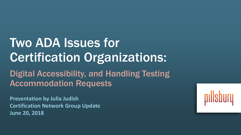# Two ADA Issues for Certification Organizations:

Digital Accessibility, and Handling Testing Accommodation Requests

**Presentation by Julia Judish Certification Network Group Update June 20, 2018**

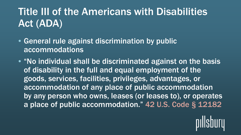# Title III of the Americans with Disabilities Act (ADA)

- General rule against discrimination by public accommodations
- "No individual shall be discriminated against on the basis of disability in the full and equal employment of the goods, services, facilities, privileges, advantages, or accommodation of any place of public accommodation by any person who owns, leases (or leases to), or operates a place of public accommodation." 42 U.S. Code § 12182

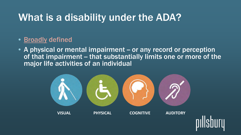# What is a disability under the ADA?

#### • **Broadly defined**

• A physical or mental impairment – or any record or perception of that impairment – that substantially limits one or more of the major life activities of an individual



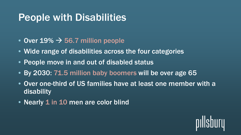# People with Disabilities

- $\bullet$  Over 19%  $\rightarrow$  56.7 million people
- Wide range of disabilities across the four categories
- People move in and out of disabled status
- By 2030: 71.5 million baby boomers will be over age 65
- Over one-third of US families have at least one member with a disability
- Nearly 1 in 10 men are color blind

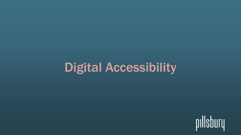# Digital Accessibility

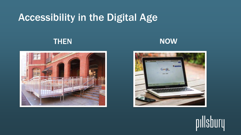# Accessibility in the Digital Age







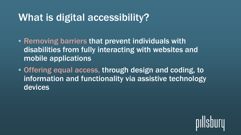# What is digital accessibility?

- Removing barriers that prevent individuals with disabilities from fully interacting with websites and mobile applications
- Offering equal access, through design and coding, to information and functionality via assistive technology devices

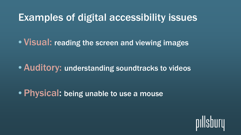# Examples of digital accessibility issues

• Visual: reading the screen and viewing images

• Auditory: understanding soundtracks to videos

• Physical: being unable to use a mouse

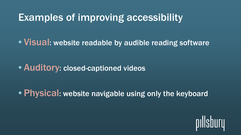# Examples of improving accessibility

• Visual: website readable by audible reading software

• Auditory: closed-captioned videos

• Physical: website navigable using only the keyboard

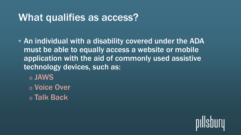# What qualifies as access?

- An individual with a disability covered under the ADA must be able to equally access a website or mobile application with the aid of commonly used assistive technology devices, such as:
	- <sup>o</sup> JAWS <sup>o</sup> Voice Over <sup>o</sup> Talk Back

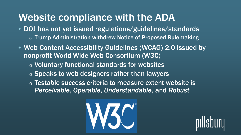# Website compliance with the ADA

- DOJ has not yet issued regulations/guidelines/standards o Trump Administration withdrew Notice of Proposed Rulemaking
- Web Content Accessibility Guidelines (WCAG) 2.0 issued by nonprofit World Wide Web Consortium (W3C)
	- <sup>o</sup> Voluntary functional standards for websites
	- o Speaks to web designers rather than lawyers
	- <sup>o</sup> Testable success criteria to measure extent website is *Perceivable*, *Operable*, *Understandable*, and *Robust*



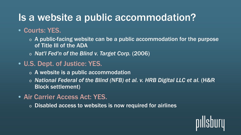# Is a website a public accommodation?

### • Courts: YES.

 $\circ$  A public-facing website can be a public accommodation for the purpose of Title III of the ADA

<sup>o</sup> *Nat'l Fed'n of the Blind v. Target Corp.* (2006)

### • U.S. Dept. of Justice: YES.

- $\circ$  A website is a public accommodation
- <sup>o</sup> *National Federal of the Blind (NFB) et al. v. HRB Digital LLC et al.* (H&R Block settlement)
- Air Carrier Access Act: YES.
	- <sup>o</sup> Disabled access to websites is now required for airlines

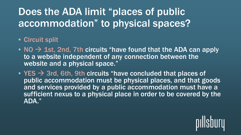# Does the ADA limit "places of public accommodation" to physical spaces?

### • Circuit split

- NO  $\rightarrow$  1st, 2nd, 7th circuits "have found that the ADA can apply to a website independent of any connection between the website and a physical space."
- YES  $\rightarrow$  3rd, 6th, 9th circuits "have concluded that places of public accommodation must be physical places, and that goods and services provided by a public accommodation must have a sufficient nexus to a physical place in order to be covered by the ADA."

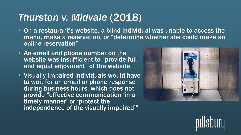# *Thurston v. Midvale* (2018)

- On a restaurant's website, a blind individual was unable to access the menu, make a reservation, or "determine whether she could make an online reservation"
- An email and phone number on the website was insufficient to "provide full and equal enjoyment" of the website
- Visually impaired individuals would have to wait for an email or phone response during business hours, which does not provide "effective communication 'in a timely manner' or 'protect the independence of the visually impaired'"



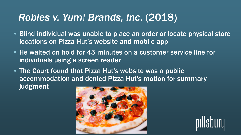# *Robles v. Yum! Brands, Inc*. (2018)

- Blind individual was unable to place an order or locate physical store locations on Pizza Hut's website and mobile app
- He waited on hold for 45 minutes on a customer service line for individuals using a screen reader
- The Court found that Pizza Hut's website was a public accommodation and denied Pizza Hut's motion for summary judgment



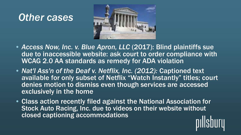# *Other cases*



- Access Now, Inc. v. Blue Apron, LLC (2017): Blind plaintiffs sue due to inaccessible website: ask court to order compliance with WCAG 2.0 AA standards as remedy for ADA violation
- *Nat'l Ass'n of the Deaf v. Netflix, Inc. (2012):* Captioned text available for only subset of Netflix "Watch Instantly" titles; court denies motion to dismiss even though services are accessed exclusively in the home
- Class action recently filed against the National Association for Stock Auto Racing, Inc. due to videos on their website without closed captioning accommodations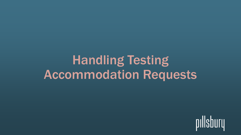# Handling Testing Accommodation Requests

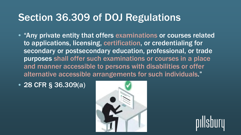# Section 36.309 of DOJ Regulations

- "Any private entity that offers examinations or courses related to applications, licensing, certification, or credentialing for secondary or postsecondary education, professional, or trade purposes shall offer such examinations or courses in a place and manner accessible to persons with disabilities or offer alternative accessible arrangements for such individuals."
- 28 CFR § 36.309(a)



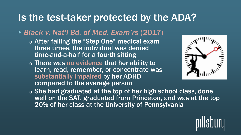# Is the test-taker protected by the ADA?

### • *Black v. Nat'l Bd. of Med. Exam'rs* (2017)

- <sup>o</sup> After failing the "Step One" medical exam three times, the individual was denied time-and-a-half for a fourth sitting
- <sup>o</sup> There was no evidence that her ability to learn, read, remember, or concentrate was substantially impaired by her ADHD compared to the average person



o She had graduated at the top of her high school class, done well on the SAT, graduated from Princeton, and was at the top 20% of her class at the University of Pennsylvania

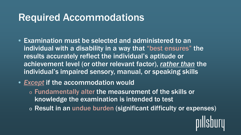# Required Accommodations

- Examination must be selected and administered to an individual with a disability in a way that "best ensures" the results accurately reflect the individual's aptitude or achievement level (or other relevant factor), *rather than* the individual's impaired sensory, manual, or speaking skills
- *Except* if the accommodation would
	- <sup>o</sup> Fundamentally alter the measurement of the skills or knowledge the examination is intended to test
	- <sup>o</sup> Result in an undue burden (significant difficulty or expenses)

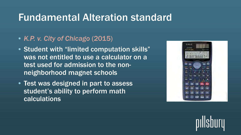# Fundamental Alteration standard

- *K.P. v. City of Chicago* (2015)
- Student with "limited computation skills" was not entitled to use a calculator on a test used for admission to the nonneighborhood magnet schools
- Test was designed in part to assess student's ability to perform math calculations



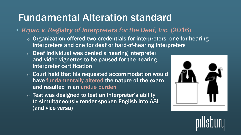# Fundamental Alteration standard

- *Krpan v. Registry of Interpreters for the Deaf, Inc.* (2016)
	- $\circ$  Organization offered two credentials for interpreters: one for hearing interpreters and one for deaf or hard-of-hearing interpreters
	- $\circ$  Deaf individual was denied a hearing interpreter and video vignettes to be paused for the hearing interpreter certification
	- <sup>o</sup> Court held that his requested accommodation would have fundamentally altered the nature of the exam and resulted in an undue burden
	- $\circ$  Test was designed to test an interpreter's ability to simultaneously render spoken English into ASL (and vice versa)



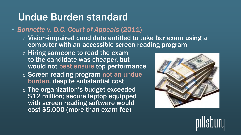# Undue Burden standard

- *Bonnette v. D.C. Court of Appeals* (2011)
	- <sup>o</sup> Vision-impaired candidate entitled to take bar exam using a computer with an accessible screen-reading program
	- <sup>o</sup> Hiring someone to read the exam to the candidate was cheaper, but would not best ensure top performance
	- <sup>o</sup> Screen reading program not an undue burden, despite substantial cost
	- <sup>o</sup> The organization's budget exceeded \$12 million; secure laptop equipped with screen reading software would cost \$5,000 (more than exam fee)



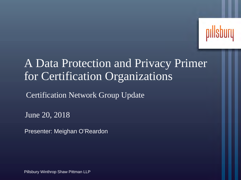

### A Data Protection and Privacy Primer for Certification Organizations

Certification Network Group Update

June 20, 2018

Presenter: Meighan O'Reardon

Pillsbury Winthrop Shaw Pittman LLP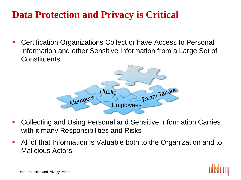### **Data Protection and Privacy is Critical**

 Certification Organizations Collect or have Access to Personal Information and other Sensitive Information from a Large Set of **Constituents** 



- Collecting and Using Personal and Sensitive Information Carries with it many Responsibilities and Risks
- All of that Information is Valuable both to the Organization and to Malicious Actors

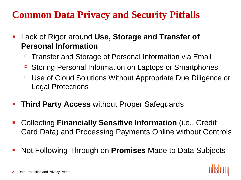### **Common Data Privacy and Security Pitfalls**

- Lack of Rigor around **Use, Storage and Transfer of Personal Information**
	- Transfer and Storage of Personal Information via Email
	- Storing Personal Information on Laptops or Smartphones
	- Use of Cloud Solutions Without Appropriate Due Diligence or Legal Protections
- **Third Party Access** without Proper Safeguards
- Collecting **Financially Sensitive Information** (i.e., Credit Card Data) and Processing Payments Online without Controls
- Not Following Through on **Promises** Made to Data Subjects

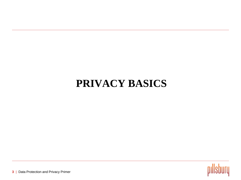### **PRIVACY BASICS**

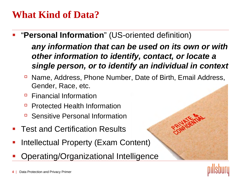### **What Kind of Data?**

- "**Personal Information**" (US-oriented definition) *any information that can be used on its own or with other information to identify, contact, or locate a single person, or to identify an individual in context* 
	- Name, Address, Phone Number, Date of Birth, Email Address, Gender, Race, etc.
	- □ Financial Information
	- Protected Health Information
	- Sensitive Personal Information
- Test and Certification Results
- Intellectual Property (Exam Content)
- Operating/Organizational Inte[lligence](http://www.google.com/url?sa=i&rct=j&q=&esrc=s&source=images&cd=&cad=rja&uact=8&ved=0ahUKEwjLwJWA1tjRAhUMxoMKHR4uBMEQjRwIBw&url=http://www.itpro.co.uk/643435/ico-fines-charity-70000-for-losing-sensitive-data&psig=AFQjCNF5U7LjfIIJ8nxF6ErfSR2w29no7g&ust=1485274815044607)

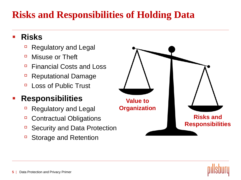### **Risks and Responsibilities of Holding Data**

#### **Risks**

- Regulatory and Legal
- **D** Misuse or Theft
- Financial Costs and Loss
- **Reputational Damage**
- **Loss of Public Trust**

#### **Responsibilities**

- Regulatory and Legal
- □ Contractual Obligations
- □ Security and Data Protection
- Storage and Retention



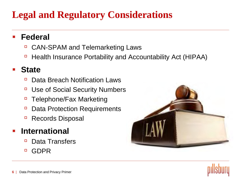### **Legal and Regulatory Considerations**

#### **Federal**

- □ CAN-SPAM and Telemarketing Laws
- □ Health Insurance Portability and Accountability Act (HIPAA)

#### **State**

- Data Breach Notification Laws
- □ Use of Social Security Numbers
- □ Telephone/Fax Marketing
- □ Data Protection Requirements
- Records Disposal

#### **International**

- **Data Transfers**
- GDPR



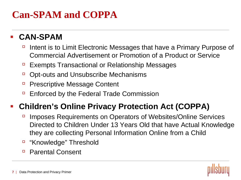### **Can-SPAM and COPPA**

#### **CAN-SPAM**

- Intent is to Limit Electronic Messages that have a Primary Purpose of Commercial Advertisement or Promotion of a Product or Service
- Exempts Transactional or Relationship Messages
- □ Opt-outs and Unsubscribe Mechanisms
- Prescriptive Message Content
- Enforced by the Federal Trade Commission

#### **Children's Online Privacy Protection Act (COPPA)**

- Imposes Requirements on Operators of Websites/Online Services Directed to Children Under 13 Years Old that have Actual Knowledge they are collecting Personal Information Online from a Child
- "Knowledge" Threshold
- □ Parental Consent

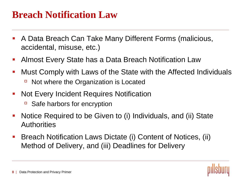### **Breach Notification Law**

- A Data Breach Can Take Many Different Forms (malicious, accidental, misuse, etc.)
- Almost Every State has a Data Breach Notification Law
- Must Comply with Laws of the State with the Affected Individuals ■ Not where the Organization is Located
- Not Every Incident Requires Notification
	- Safe harbors for encryption
- Notice Required to be Given to (i) Individuals, and (ii) State **Authorities**
- Breach Notification Laws Dictate (i) Content of Notices, (ii) Method of Delivery, and (iii) Deadlines for Delivery

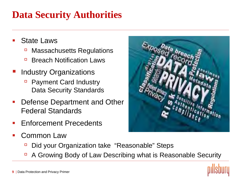### **Data Security Authorities**

- State Laws
	- □ Massachusetts Regulations
	- **Breach Notification Laws**
- Industry Organizations
	- Payment Card Industry Data Security Standards
- Defense Department and Other Federal Standards
- Enforcement Precedents
- Common Law



- Did your Organization take "Reasonable" Steps
- $\overline{P}$  A Growing Body of Law Describing what is Reasonable Security

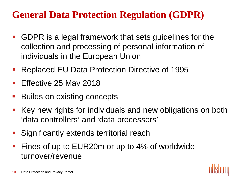### **General Data Protection Regulation (GDPR)**

- GDPR is a legal framework that sets guidelines for the collection and processing of personal information of individuals in the European Union
- Replaced EU Data Protection Directive of 1995
- Effective 25 May 2018
- Builds on existing concepts
- Key new rights for individuals and new obligations on both 'data controllers' and 'data processors'
- Significantly extends territorial reach
- Fines of up to EUR20m or up to 4% of worldwide turnover/revenue

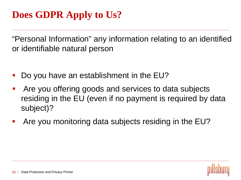"Personal Information" any information relating to an identified or identifiable natural person

- Do you have an establishment in the EU?
- Are you offering goods and services to data subjects residing in the EU (even if no payment is required by data subject)?
- Are you monitoring data subjects residing in the EU?

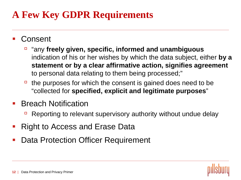### **A Few Key GDPR Requirements**

- **Consent** 
	- "any **freely given, specific, informed and unambiguous** indication of his or her wishes by which the data subject, either **by a statement or by a clear affirmative action, signifies agreement** to personal data relating to them being processed;"
	- $\overline{P}$  the purposes for which the consent is gained does need to be "collected for **specified, explicit and legitimate purposes**"
- Breach Notification
	- Reporting to relevant supervisory authority without undue delay
- Right to Access and Erase Data
- Data Protection Officer Requirement

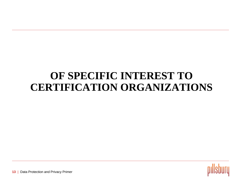### **OF SPECIFIC INTEREST TO CERTIFICATION ORGANIZATIONS**

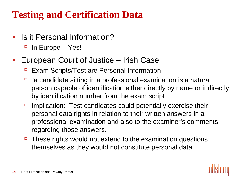### **Testing and Certification Data**

- Is it Personal Information?
	- $\Box$  In Europe Yes!
- European Court of Justice Irish Case
	- Exam Scripts/Test are Personal Information
	- "a candidate sitting in a professional examination is a natural person capable of identification either directly by name or indirectly by identification number from the exam script
	- $\Box$  Implication: Test candidates could potentially exercise their personal data rights in relation to their written answers in a professional examination and also to the examiner's comments regarding those answers.
	- $\Box$  These rights would not extend to the examination questions themselves as they would not constitute personal data.

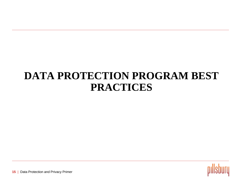### **DATA PROTECTION PROGRAM BEST PRACTICES**

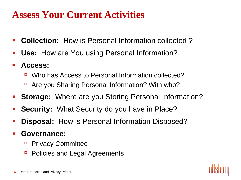### **Assess Your Current Activities**

- **Collection:** How is Personal Information collected ?
- **Use:** How are You using Personal Information?
- **Access:**
	- Who has Access to Personal Information collected?
	- Are you Sharing Personal Information? With who?
- **Storage:** Where are you Storing Personal Information?
- **Security:** What Security do you have in Place?
- **Disposal:** How is Personal Information Disposed?
- **Governance:** 
	- **Privacy Committee**
	- Policies and Legal Agreements

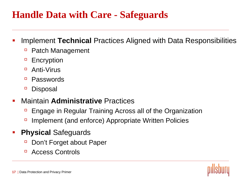### **Handle Data with Care - Safeguards**

- Implement **Technical** Practices Aligned with Data Responsibilities
	- Patch Management
	- □ Encryption
	- Anti-Virus
	- **Passwords**
	- <sup>D</sup> Disposal
- Maintain **Administrative** Practices
	- Engage in Regular Training Across all of the Organization
	- Implement (and enforce) Appropriate Written Policies
- **Physical** Safeguards
	- Don't Forget about Paper
	- **E** Access Controls

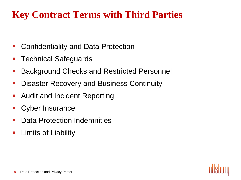### **Key Contract Terms with Third Parties**

- Confidentiality and Data Protection
- Technical Safeguards
- Background Checks and Restricted Personnel
- Disaster Recovery and Business Continuity
- Audit and Incident Reporting
- Cyber Insurance
- Data Protection Indemnities
- Limits of Liability

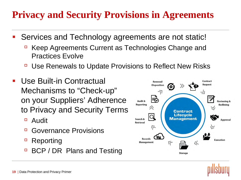### **Privacy and Security Provisions in Agreements**

- Services and Technology agreements are not static!
	- Keep Agreements Current as Technologies Change and Practices Evolve
	- Use Renewals to Update Provisions to Reflect New Risks
- Use Built-in Contractual Mechanisms to "Check-up" on your Suppliers' Adherence to Privacy and Security Terms
	- Audit
	- □ Governance Provisions
	- Reporting
	- **BCP / DR Plans and Testing**



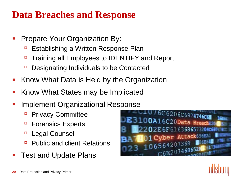### **Data Breaches and Response**

- Prepare Your Organization By:
	- Establishing a Written Response Plan
	- □ Training all Employees to IDENTIFY and Report
	- □ Designating Individuals to be Contacted
- Know What Data is Held by the Organization
- Know What States may be Implicated
- Implement Organizational Response
	- **Privacy Committee**
	- □ Forensics Experts
	- □ Legal Counsel
	- □ Public and client Relations
- Test and Update Plans



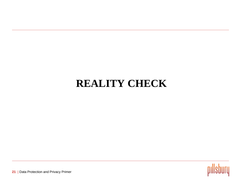### **REALITY CHECK**

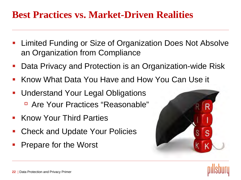### **Best Practices vs. Market-Driven Realities**

- Limited Funding or Size of Organization Does Not Absolve an Organization from Compliance
- Data Privacy and Protection is an Organization-wide Risk
- Know What Data You Have and How You Can Use it
- Understand Your Legal Obligations Are Your Practices "Reasonable"
- Know Your Third Parties
- Check and Update Your Policies
- Prepare for the Worst



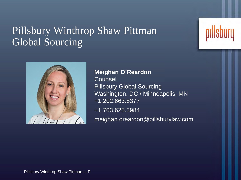### Pillsbury Winthrop Shaw Pittman Global Sourcing



**Meighan O'Reardon** Counsel Pillsbury Global Sourcing Washington, DC / Minneapolis, MN +1.202.663.8377 +1.703.625.3984 meighan.oreardon@pillsburylaw.com

Pillsbury Winthrop Shaw Pittman LLP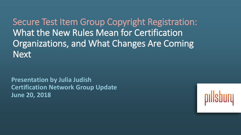Secure Test Item Group Copyright Registration: What the New Rules Mean for Certification Organizations, and What Changes Are Coming **Next** 

**Presentation by Julia Judish Certification Network Group Update June 20, 2018**

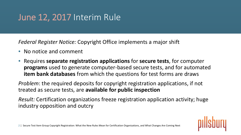# June 12, 2017 Interim Rule

*Federal Register Notice:* Copyright Office implements a major shift

- No notice and comment
- Requires **separate registration applications** for **secure tests**, for computer **programs** used to generate computer-based secure tests, and for automated **item bank databases** from which the questions for test forms are draws

*Problem*: the required deposits for copyright registration applications, if not treated as secure tests, are **available for public inspection**

*Result:* Certification organizations freeze registration application activity; huge industry opposition and outcry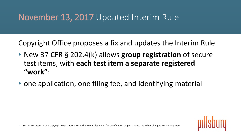Copyright Office proposes a fix and updates the Interim Rule

- New 37 CFR § 202.4(k) allows **group registration** of secure test items, with **each test item a separate registered "work"**:
- one application, one filing fee, and identifying material

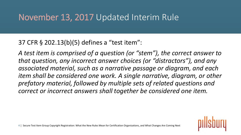#### 37 CFR § 202.13(b)(5) defines a "test item":

*A test item is comprised of a question (or "stem"), the correct answer to that question, any incorrect answer choices (or "distractors"), and any associated material, such as a narrative passage or diagram, and each item shall be considered one work. A single narrative, diagram, or other prefatory material, followed by multiple sets of related questions and correct or incorrect answers shall together be considered one item.*

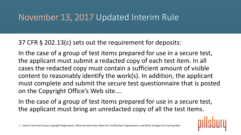37 CFR § 202.13(c) sets out the requirement for deposits:

In the case of a group of test items prepared for use in a secure test, the applicant must submit a redacted copy of each test item. In all cases the redacted copy must contain a sufficient amount of visible content to reasonably identify the work(s). In addition, the applicant must complete and submit the secure test questionnaire that is posted on the Copyright Office's Web site….

In the case of a group of test items prepared for use in a secure test, the applicant must bring an unredacted copy of all the test items.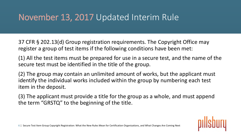37 CFR § 202.13(d) Group registration requirements. The Copyright Office may register a group of test items if the following conditions have been met:

(1) All the test items must be prepared for use in a secure test, and the name of the secure test must be identified in the title of the group.

(2) The group may contain an unlimited amount of works, but the applicant must identify the individual works included within the group by numbering each test item in the deposit.

(3) The applicant must provide a title for the group as a whole, and must append the term "GRSTQ" to the beginning of the title.

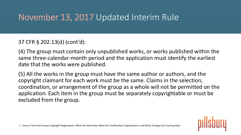#### 37 CFR § 202.13(d) (cont'd):

(4) The group must contain only unpublished works, or works published within the same three-calendar-month period and the application must identify the earliest date that the works were published.

(5) All the works in the group must have the same author or authors, and the copyright claimant for each work must be the same. Claims in the selection, coordination, or arrangement of the group as a whole will not be permitted on the application. Each item in the group must be separately copyrightable or must be excluded from the group.

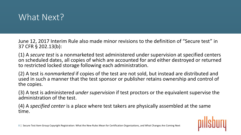

June 12, 2017 Interim Rule also made minor revisions to the definition of "Secure test" in 37 CFR § 202.13(b):

(1) A *secure test* is a nonmarketed test administered under supervision at specified centers on scheduled dates, all copies of which are accounted for and either destroyed or returned to restricted locked storage following each administration.

(2) A test is *nonmarketed* if copies of the test are not sold, but instead are distributed and used in such a manner that the test sponsor or publisher retains ownership and control of the copies.

(3) A test is administered *under supervision* if test proctors or the equivalent supervise the administration of the test.

(4) A *specified center* is a place where test takers are physically assembled at the same time.